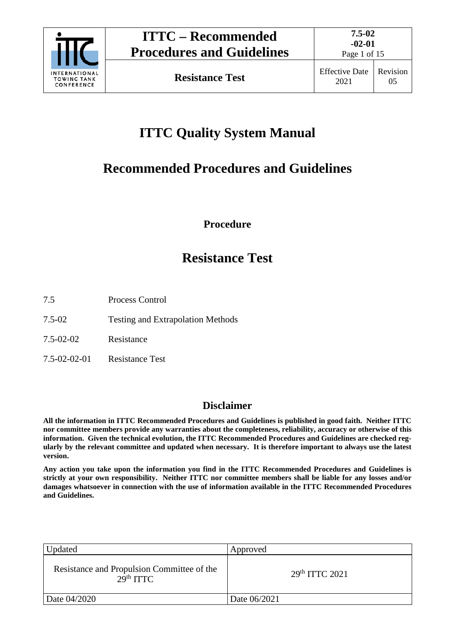

# **ITTC Quality System Manual**

# **Recommended Procedures and Guidelines**

**Procedure**

# **Resistance Test**

- 7.5 Process Control
- 7.5-02 Testing and Extrapolation Methods
- 7.5-02-02 Resistance
- 7.5-02-02-01 Resistance Test

# **Disclaimer**

**All the information in ITTC Recommended Procedures and Guidelines is published in good faith. Neither ITTC nor committee members provide any warranties about the completeness, reliability, accuracy or otherwise of this information. Given the technical evolution, the ITTC Recommended Procedures and Guidelines are checked regularly by the relevant committee and updated when necessary. It is therefore important to always use the latest version.**

**Any action you take upon the information you find in the ITTC Recommended Procedures and Guidelines is strictly at your own responsibility. Neither ITTC nor committee members shall be liable for any losses and/or damages whatsoever in connection with the use of information available in the ITTC Recommended Procedures and Guidelines.**

| Updated                                                             | Approved                   |
|---------------------------------------------------------------------|----------------------------|
| Resistance and Propulsion Committee of the<br>29 <sup>th</sup> TTTC | 29 <sup>th</sup> ITTC 2021 |
| Date 04/2020                                                        | Date 06/2021               |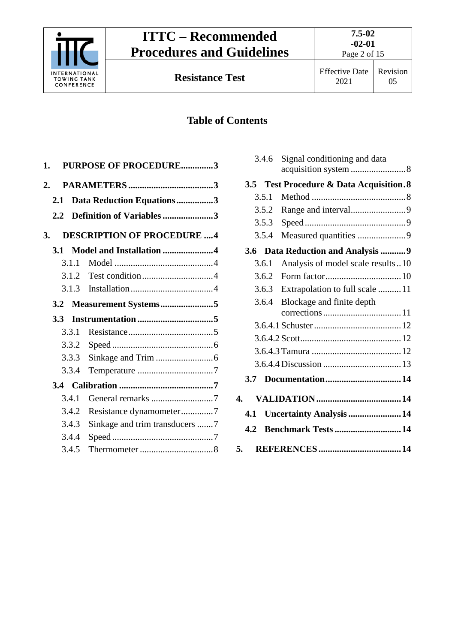

Page 2 of 15

# **Table of Contents**

| 1.            | <b>PURPOSE OF PROCEDURE3</b>      |
|---------------|-----------------------------------|
| 2.            |                                   |
| 2.1           | Data Reduction Equations3         |
| $2.2^{\circ}$ | Definition of Variables 3         |
| 3.            | <b>DESCRIPTION OF PROCEDURE 4</b> |
| 3.1           | Model and Installation 4          |
| 3.1.1         |                                   |
|               |                                   |
| 3.1.3         |                                   |
| 3.2           | Measurement Systems5              |
| 3.3           |                                   |
| 3.3.1         |                                   |
| 3.3.2         |                                   |
| 3.3.3         |                                   |
| 3.3.4         |                                   |
|               |                                   |
| 3.4.1         |                                   |
| 3.4.2         | Resistance dynamometer7           |
| 3.4.3         | Sinkage and trim transducers 7    |
| 3.4.4         |                                   |
| 3.4.5         |                                   |
|               |                                   |

|     | 3.4.6 | Signal conditioning and data            |  |
|-----|-------|-----------------------------------------|--|
|     |       | 3.5 Test Procedure & Data Acquisition.8 |  |
|     | 3.5.1 |                                         |  |
|     | 3.5.2 |                                         |  |
|     | 3.5.3 |                                         |  |
|     | 3.5.4 | Measured quantities 9                   |  |
| 3.6 |       | Data Reduction and Analysis  9          |  |
|     | 3.6.1 | Analysis of model scale results10       |  |
|     | 3.6.2 |                                         |  |
|     | 3.6.3 | Extrapolation to full scale 11          |  |
|     | 3.6.4 | Blockage and finite depth               |  |
|     |       |                                         |  |
|     |       |                                         |  |
|     |       |                                         |  |
|     |       |                                         |  |
|     |       |                                         |  |
| 3.7 |       |                                         |  |
| 4.  |       |                                         |  |
| 4.1 |       | Uncertainty Analysis 14                 |  |
| 4.2 |       | <b>Benchmark Tests  14</b>              |  |
| 5.  |       |                                         |  |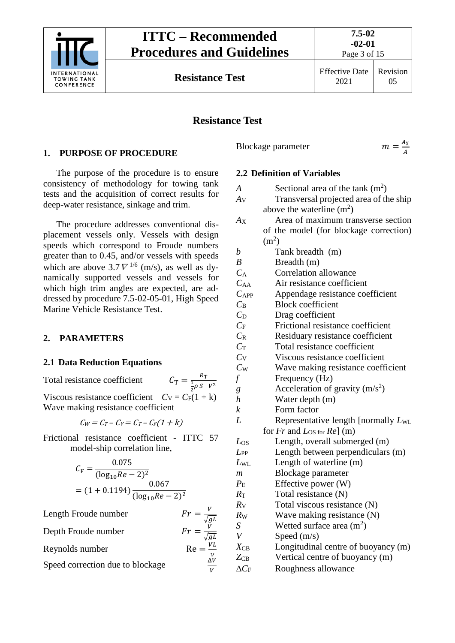

Page 3 of 15

**Resistance Test** Effective Date 2021

Revision 05

# **Resistance Test**

# <span id="page-2-0"></span>**1. PURPOSE OF PROCEDURE**

The purpose of the procedure is to ensure consistency of methodology for towing tank tests and the acquisition of correct results for deep-water resistance, sinkage and trim.

The procedure addresses conventional displacement vessels only. Vessels with design speeds which correspond to Froude numbers greater than to 0.45, and/or vessels with speeds which are above  $3.7 \nabla^{1/6}$  (m/s), as well as dynamically supported vessels and vessels for which high trim angles are expected, are addressed by procedure 7.5-02-05-01, High Speed Marine Vehicle Resistance Test.

# <span id="page-2-2"></span><span id="page-2-1"></span>**2. PARAMETERS**

## **2.1 Data Reduction Equations**

Total resistance coefficient  $\frac{1}{2}\rho S V^2$ Viscous resistance coefficient  $C_V = C_F(1 + k)$ Wave making resistance coefficient

 $C_W = C_T - C_V = C_T - C_F(1 + k)$ 

Frictional resistance coefficient - ITTC 57 model-ship correlation line,

$$
C_{\rm F} = \frac{0.075}{(\log_{10} Re - 2)^2}
$$
  
= (1 + 0.1194) \frac{0.067}{(\log\_{10} Re - 2)^2}

Length Froude number  $\sqrt{g}L$ 

Depth Froude number  $\sqrt{g}L$ 

ν

V

Reynolds number

Speed correction due to blockage

<span id="page-2-3"></span>Blockage parameter

 $m = \frac{A_X}{A}$ 

# **2.2 Definition of Variables**

| $\boldsymbol{A}$   | Sectional area of the tank $(m2)$         |
|--------------------|-------------------------------------------|
| $A_V$              | Transversal projected area of the ship    |
|                    | above the waterline $(m^2)$               |
| $A_{X}$            | Area of maximum transverse section        |
|                    | of the model (for blockage correction)    |
|                    | (m <sup>2</sup> )                         |
| $\boldsymbol{b}$   | Tank breadth (m)                          |
| $\boldsymbol{B}$   | Breadth (m)                               |
| $C_{\rm A}$        | <b>Correlation allowance</b>              |
| $C_{AA}$           | Air resistance coefficient                |
| $C_{APP}$          | Appendage resistance coefficient          |
| $C_{\rm B}$        | <b>Block coefficient</b>                  |
| $C_{\rm D}$        | Drag coefficient                          |
| $C_{\rm F}$        | Frictional resistance coefficient         |
| $C_{R}$            | Residuary resistance coefficient          |
| $C_{\rm T}$        | Total resistance coefficient              |
| $C_V$              | Viscous resistance coefficient            |
| $C_{W}$            | Wave making resistance coefficient        |
| f                  | Frequency (Hz)                            |
| g                  | Acceleration of gravity $(m/s^2)$         |
| $\boldsymbol{h}$   | Water depth (m)                           |
| $\boldsymbol{k}$   | Form factor                               |
| L                  | Representative length [normally LwL       |
|                    | for $Fr$ and $L_{OS \text{ for }} Re$ (m) |
| $L_{OS}$           | Length, overall submerged (m)             |
| $L_{PP}$           | Length between perpendiculars (m)         |
| $L_{\rm WL}$       | Length of waterline (m)                   |
| m                  | Blockage parameter                        |
| $P_{\rm E}$        | Effective power (W)                       |
| $R_{\rm T}$        | Total resistance (N)                      |
| $R_{\rm V}$        | Total viscous resistance (N)              |
| $R_{W}$            | Wave making resistance (N)                |
| $S_{\rm}$          | Wetted surface area $(m2)$                |
| $\bar{V}$          | Speed $(m/s)$                             |
| $X_{\rm CB}$       | Longitudinal centre of buoyancy (m)       |
| $Z_{CB}$           | Vertical centre of buoyancy (m)           |
| $\Delta C_{\rm F}$ | Roughness allowance                       |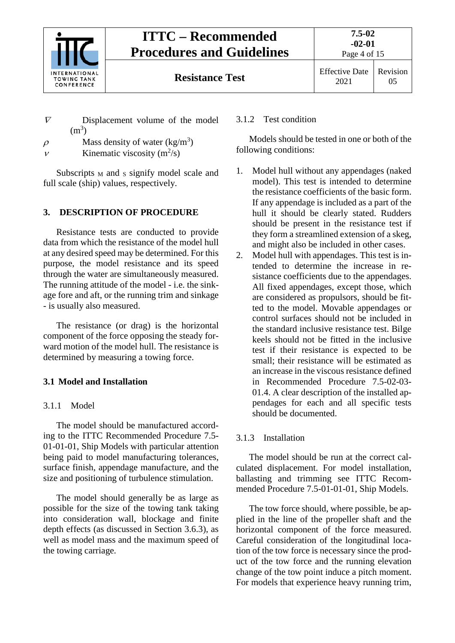

- $\nabla$  Displacement volume of the model  $(m^3)$
- $\rho$  Mass density of water (kg/m<sup>3</sup>)
- $v$  Kinematic viscosity (m<sup>2</sup>/s)

Subscripts  $_M$  and  $_S$  signify model scale and full scale (ship) values, respectively.

## <span id="page-3-0"></span>**3. DESCRIPTION OF PROCEDURE**

Resistance tests are conducted to provide data from which the resistance of the model hull at any desired speed may be determined. For this purpose, the model resistance and its speed through the water are simultaneously measured. The running attitude of the model - i.e. the sinkage fore and aft, or the running trim and sinkage - is usually also measured.

The resistance (or drag) is the horizontal component of the force opposing the steady forward motion of the model hull. The resistance is determined by measuring a towing force.

# <span id="page-3-2"></span><span id="page-3-1"></span>**3.1 Model and Installation**

## 3.1.1 Model

The model should be manufactured according to the ITTC Recommended Procedure 7.5- 01-01-01, Ship Models with particular attention being paid to model manufacturing tolerances, surface finish, appendage manufacture, and the size and positioning of turbulence stimulation.

The model should generally be as large as possible for the size of the towing tank taking into consideration wall, blockage and finite depth effects (as discussed in Section 3.6.3), as well as model mass and the maximum speed of the towing carriage.

# <span id="page-3-3"></span>3.1.2 Test condition

Models should be tested in one or both of the following conditions:

- 1. Model hull without any appendages (naked model). This test is intended to determine the resistance coefficients of the basic form. If any appendage is included as a part of the hull it should be clearly stated. Rudders should be present in the resistance test if they form a streamlined extension of a skeg, and might also be included in other cases.
- 2. Model hull with appendages. This test is intended to determine the increase in resistance coefficients due to the appendages. All fixed appendages, except those, which are considered as propulsors, should be fitted to the model. Movable appendages or control surfaces should not be included in the standard inclusive resistance test. Bilge keels should not be fitted in the inclusive test if their resistance is expected to be small; their resistance will be estimated as an increase in the viscous resistance defined in Recommended Procedure 7.5-02-03- 01.4. A clear description of the installed appendages for each and all specific tests should be documented.

# <span id="page-3-4"></span>3.1.3 Installation

The model should be run at the correct calculated displacement. For model installation, ballasting and trimming see ITTC Recommended Procedure 7.5-01-01-01, Ship Models.

The tow force should, where possible, be applied in the line of the propeller shaft and the horizontal component of the force measured. Careful consideration of the longitudinal location of the tow force is necessary since the product of the tow force and the running elevation change of the tow point induce a pitch moment. For models that experience heavy running trim,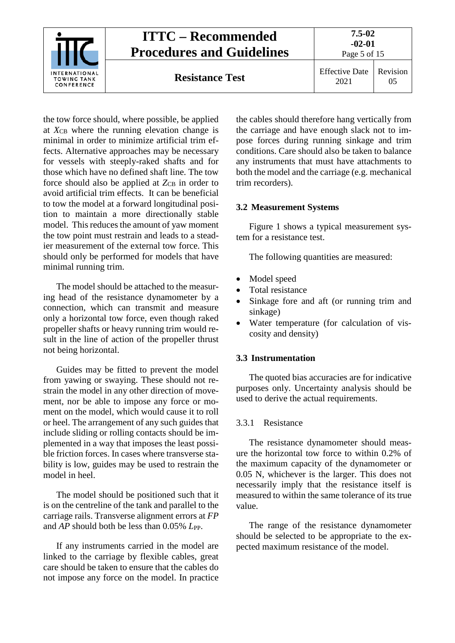

the tow force should, where possible, be applied at  $X_{CB}$  where the running elevation change is minimal in order to minimize artificial trim effects. Alternative approaches may be necessary for vessels with steeply-raked shafts and for those which have no defined shaft line. The tow force should also be applied at  $Z_{CB}$  in order to avoid artificial trim effects. It can be beneficial to tow the model at a forward longitudinal position to maintain a more directionally stable model. This reduces the amount of yaw moment the tow point must restrain and leads to a steadier measurement of the external tow force. This should only be performed for models that have minimal running trim.

The model should be attached to the measuring head of the resistance dynamometer by a connection, which can transmit and measure only a horizontal tow force, even though raked propeller shafts or heavy running trim would result in the line of action of the propeller thrust not being horizontal.

Guides may be fitted to prevent the model from yawing or swaying. These should not restrain the model in any other direction of movement, nor be able to impose any force or moment on the model, which would cause it to roll or heel. The arrangement of any such guides that include sliding or rolling contacts should be implemented in a way that imposes the least possible friction forces. In cases where transverse stability is low, guides may be used to restrain the model in heel.

The model should be positioned such that it is on the centreline of the tank and parallel to the carriage rails. Transverse alignment errors at *FP* and *AP* should both be less than 0.05% *L*<sub>PP</sub>.

If any instruments carried in the model are linked to the carriage by flexible cables, great care should be taken to ensure that the cables do not impose any force on the model. In practice

the cables should therefore hang vertically from the carriage and have enough slack not to impose forces during running sinkage and trim conditions. Care should also be taken to balance any instruments that must have attachments to both the model and the carriage (e.g. mechanical trim recorders).

# <span id="page-4-0"></span>**3.2 Measurement Systems**

Figure 1 shows a typical measurement system for a resistance test.

The following quantities are measured:

- Model speed
- Total resistance
- Sinkage fore and aft (or running trim and sinkage)
- Water temperature (for calculation of viscosity and density)

# <span id="page-4-1"></span>**3.3 Instrumentation**

The quoted bias accuracies are for indicative purposes only. Uncertainty analysis should be used to derive the actual requirements.

# <span id="page-4-2"></span>3.3.1 Resistance

The resistance dynamometer should measure the horizontal tow force to within 0.2% of the maximum capacity of the dynamometer or 0.05 N, whichever is the larger. This does not necessarily imply that the resistance itself is measured to within the same tolerance of its true value.

The range of the resistance dynamometer should be selected to be appropriate to the expected maximum resistance of the model.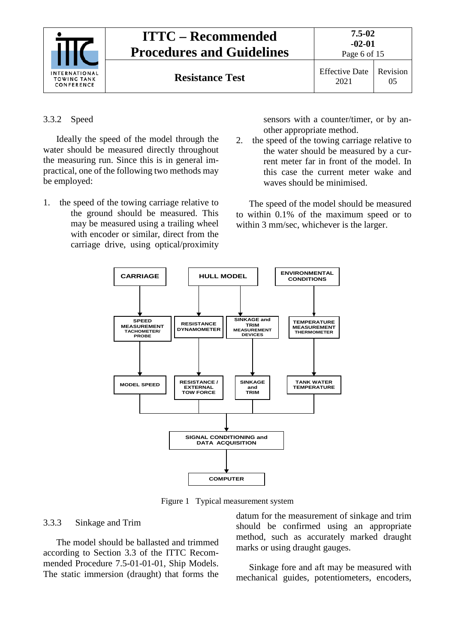

#### <span id="page-5-0"></span>3.3.2 Speed

Ideally the speed of the model through the water should be measured directly throughout the measuring run. Since this is in general impractical, one of the following two methods may be employed:

1. the speed of the towing carriage relative to the ground should be measured. This may be measured using a trailing wheel with encoder or similar, direct from the carriage drive, using optical/proximity sensors with a counter/timer, or by another appropriate method.

2. the speed of the towing carriage relative to the water should be measured by a current meter far in front of the model. In this case the current meter wake and waves should be minimised.

The speed of the model should be measured to within 0.1% of the maximum speed or to within 3 mm/sec, whichever is the larger.



Figure 1 Typical measurement system

#### <span id="page-5-1"></span>3.3.3 Sinkage and Trim

The model should be ballasted and trimmed according to Section 3.3 of the ITTC Recommended Procedure 7.5-01-01-01, Ship Models. The static immersion (draught) that forms the datum for the measurement of sinkage and trim should be confirmed using an appropriate method, such as accurately marked draught marks or using draught gauges.

Sinkage fore and aft may be measured with mechanical guides, potentiometers, encoders,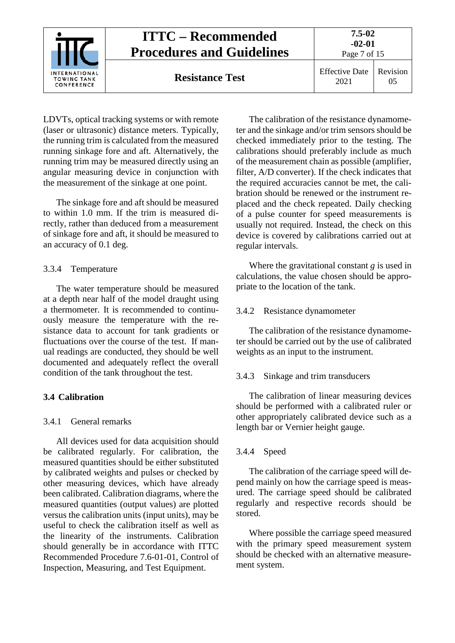| INTERNATIONAL<br><b>TOWING TANK</b><br>CONFERENCE | <b>ITTC – Recommended</b><br><b>Procedures and Guidelines</b> | 7.5-02<br>$-02-01$<br>Page 7 of 15 |          |
|---------------------------------------------------|---------------------------------------------------------------|------------------------------------|----------|
|                                                   | <b>Resistance Test</b>                                        | <b>Effective Date</b><br>2021      | Revision |

LDVTs, optical tracking systems or with remote (laser or ultrasonic) distance meters. Typically, the running trim is calculated from the measured running sinkage fore and aft. Alternatively, the running trim may be measured directly using an angular measuring device in conjunction with the measurement of the sinkage at one point.

The sinkage fore and aft should be measured to within 1.0 mm. If the trim is measured directly, rather than deduced from a measurement of sinkage fore and aft, it should be measured to an accuracy of 0.1 deg.

### <span id="page-6-0"></span>3.3.4 Temperature

The water temperature should be measured at a depth near half of the model draught using a thermometer. It is recommended to continuously measure the temperature with the resistance data to account for tank gradients or fluctuations over the course of the test. If manual readings are conducted, they should be well documented and adequately reflect the overall condition of the tank throughout the test.

## <span id="page-6-2"></span><span id="page-6-1"></span>**3.4 Calibration**

#### 3.4.1 General remarks

All devices used for data acquisition should be calibrated regularly. For calibration, the measured quantities should be either substituted by calibrated weights and pulses or checked by other measuring devices, which have already been calibrated. Calibration diagrams, where the measured quantities (output values) are plotted versus the calibration units (input units), may be useful to check the calibration itself as well as the linearity of the instruments. Calibration should generally be in accordance with ITTC Recommended Procedure 7.6-01-01, Control of Inspection, Measuring, and Test Equipment.

The calibration of the resistance dynamometer and the sinkage and/or trim sensors should be checked immediately prior to the testing. The calibrations should preferably include as much of the measurement chain as possible (amplifier, filter, A/D converter). If the check indicates that the required accuracies cannot be met, the calibration should be renewed or the instrument replaced and the check repeated. Daily checking of a pulse counter for speed measurements is usually not required. Instead, the check on this device is covered by calibrations carried out at regular intervals.

Where the gravitational constant *g* is used in calculations, the value chosen should be appropriate to the location of the tank.

### <span id="page-6-3"></span>3.4.2 Resistance dynamometer

The calibration of the resistance dynamometer should be carried out by the use of calibrated weights as an input to the instrument.

#### <span id="page-6-4"></span>3.4.3 Sinkage and trim transducers

The calibration of linear measuring devices should be performed with a calibrated ruler or other appropriately calibrated device such as a length bar or Vernier height gauge.

#### <span id="page-6-5"></span>3.4.4 Speed

The calibration of the carriage speed will depend mainly on how the carriage speed is measured. The carriage speed should be calibrated regularly and respective records should be stored.

Where possible the carriage speed measured with the primary speed measurement system should be checked with an alternative measurement system.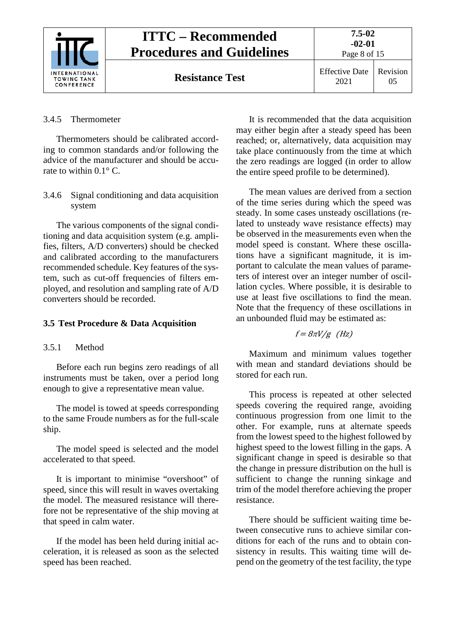

#### <span id="page-7-0"></span>3.4.5 Thermometer

Thermometers should be calibrated according to common standards and/or following the advice of the manufacturer and should be accurate to within 0.1° C.

<span id="page-7-1"></span>3.4.6 Signal conditioning and data acquisition system

The various components of the signal conditioning and data acquisition system (e.g. amplifies, filters, A/D converters) should be checked and calibrated according to the manufacturers recommended schedule. Key features of the system, such as cut-off frequencies of filters employed, and resolution and sampling rate of A/D converters should be recorded.

#### <span id="page-7-3"></span><span id="page-7-2"></span>**3.5 Test Procedure & Data Acquisition**

#### 3.5.1 Method

Before each run begins zero readings of all instruments must be taken, over a period long enough to give a representative mean value.

The model is towed at speeds corresponding to the same Froude numbers as for the full-scale ship.

The model speed is selected and the model accelerated to that speed.

It is important to minimise "overshoot" of speed, since this will result in waves overtaking the model. The measured resistance will therefore not be representative of the ship moving at that speed in calm water.

If the model has been held during initial acceleration, it is released as soon as the selected speed has been reached.

It is recommended that the data acquisition may either begin after a steady speed has been reached; or, alternatively, data acquisition may take place continuously from the time at which the zero readings are logged (in order to allow the entire speed profile to be determined).

The mean values are derived from a section of the time series during which the speed was steady. In some cases unsteady oscillations (related to unsteady wave resistance effects) may be observed in the measurements even when the model speed is constant. Where these oscillations have a significant magnitude, it is important to calculate the mean values of parameters of interest over an integer number of oscillation cycles. Where possible, it is desirable to use at least five oscillations to find the mean. Note that the frequency of these oscillations in an unbounded fluid may be estimated as:

$$
f = 8\pi V/g
$$
 (Hz)

Maximum and minimum values together with mean and standard deviations should be stored for each run.

This process is repeated at other selected speeds covering the required range, avoiding continuous progression from one limit to the other. For example, runs at alternate speeds from the lowest speed to the highest followed by highest speed to the lowest filling in the gaps. A significant change in speed is desirable so that the change in pressure distribution on the hull is sufficient to change the running sinkage and trim of the model therefore achieving the proper resistance.

There should be sufficient waiting time between consecutive runs to achieve similar conditions for each of the runs and to obtain consistency in results. This waiting time will depend on the geometry of the test facility, the type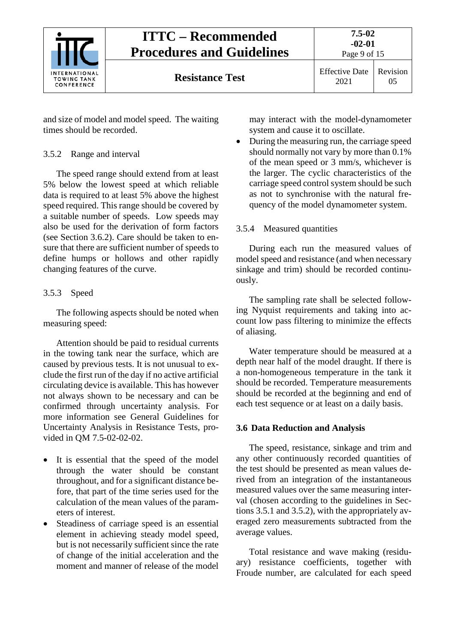

and size of model and model speed. The waiting times should be recorded.

## <span id="page-8-0"></span>3.5.2 Range and interval

The speed range should extend from at least 5% below the lowest speed at which reliable data is required to at least 5% above the highest speed required. This range should be covered by a suitable number of speeds. Low speeds may also be used for the derivation of form factors (see Section 3.6.2). Care should be taken to ensure that there are sufficient number of speeds to define humps or hollows and other rapidly changing features of the curve.

#### <span id="page-8-1"></span>3.5.3 Speed

The following aspects should be noted when measuring speed:

Attention should be paid to residual currents in the towing tank near the surface, which are caused by previous tests. It is not unusual to exclude the first run of the day if no active artificial circulating device is available. This has however not always shown to be necessary and can be confirmed through uncertainty analysis. For more information see General Guidelines for Uncertainty Analysis in Resistance Tests, provided in QM 7.5-02-02-02.

- It is essential that the speed of the model through the water should be constant throughout, and for a significant distance before, that part of the time series used for the calculation of the mean values of the parameters of interest.
- Steadiness of carriage speed is an essential element in achieving steady model speed, but is not necessarily sufficient since the rate of change of the initial acceleration and the moment and manner of release of the model

may interact with the model-dynamometer system and cause it to oscillate.

• During the measuring run, the carriage speed should normally not vary by more than 0.1% of the mean speed or 3 mm/s, whichever is the larger. The cyclic characteristics of the carriage speed control system should be such as not to synchronise with the natural frequency of the model dynamometer system.

### <span id="page-8-2"></span>3.5.4 Measured quantities

During each run the measured values of model speed and resistance (and when necessary sinkage and trim) should be recorded continuously.

The sampling rate shall be selected following Nyquist requirements and taking into account low pass filtering to minimize the effects of aliasing.

Water temperature should be measured at a depth near half of the model draught. If there is a non-homogeneous temperature in the tank it should be recorded. Temperature measurements should be recorded at the beginning and end of each test sequence or at least on a daily basis.

#### <span id="page-8-3"></span>**3.6 Data Reduction and Analysis**

The speed, resistance, sinkage and trim and any other continuously recorded quantities of the test should be presented as mean values derived from an integration of the instantaneous measured values over the same measuring interval (chosen according to the guidelines in Sections 3.5.1 and 3.5.2), with the appropriately averaged zero measurements subtracted from the average values.

Total resistance and wave making (residuary) resistance coefficients, together with Froude number, are calculated for each speed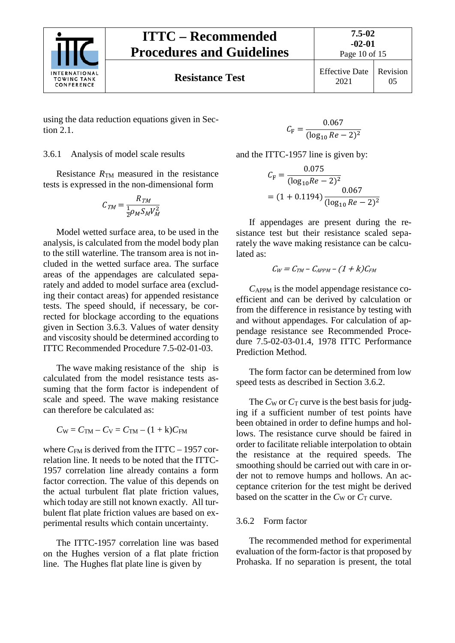

# **ITTC – Recommended Procedures and Guidelines**

Page 10 of 15

Revision 05

using the data reduction equations given in Section 2.1.

#### <span id="page-9-0"></span>3.6.1 Analysis of model scale results

Resistance  $R_{TM}$  measured in the resistance tests is expressed in the non-dimensional form

$$
C_{TM} = \frac{R_{TM}}{\frac{1}{2}\rho_M S_M V_M^2}
$$

Model wetted surface area, to be used in the analysis, is calculated from the model body plan to the still waterline. The transom area is not included in the wetted surface area. The surface areas of the appendages are calculated separately and added to model surface area (excluding their contact areas) for appended resistance tests. The speed should, if necessary, be corrected for blockage according to the equations given in Section 3.6.3. Values of water density and viscosity should be determined according to ITTC Recommended Procedure 7.5-02-01-03.

The wave making resistance of the ship is calculated from the model resistance tests assuming that the form factor is independent of scale and speed. The wave making resistance can therefore be calculated as:

 $C_{W} = C_{TM} - C_{V} = C_{TM} - (1 + k)C_{FM}$ 

where  $C_{FM}$  is derived from the ITTC – 1957 correlation line. It needs to be noted that the ITTC-1957 correlation line already contains a form factor correction. The value of this depends on the actual turbulent flat plate friction values, which today are still not known exactly. All turbulent flat plate friction values are based on experimental results which contain uncertainty.

The ITTC-1957 correlation line was based on the Hughes version of a flat plate friction line. The Hughes flat plate line is given by

$$
C_{\rm F} = \frac{0.067}{(\log_{10} Re - 2)^2}
$$

and the ITTC-1957 line is given by:

$$
C_{\rm F} = \frac{0.075}{(\log_{10} Re - 2)^2}
$$
  
= (1 + 0.1194) 
$$
\frac{0.067}{(\log_{10} Re - 2)^2}
$$

If appendages are present during the resistance test but their resistance scaled separately the wave making resistance can be calculated as:

$$
C_W = C_{TM} - C_{APPM} - (1 + k)C_{FM}
$$

*C*APPM is the model appendage resistance coefficient and can be derived by calculation or from the difference in resistance by testing with and without appendages. For calculation of appendage resistance see Recommended Procedure 7.5-02-03-01.4, 1978 ITTC Performance Prediction Method.

The form factor can be determined from low speed tests as described in Section 3.6.2.

The  $C_W$  or  $C_T$  curve is the best basis for judging if a sufficient number of test points have been obtained in order to define humps and hollows. The resistance curve should be faired in order to facilitate reliable interpolation to obtain the resistance at the required speeds. The smoothing should be carried out with care in order not to remove humps and hollows. An acceptance criterion for the test might be derived based on the scatter in the  $C_W$  or  $C_T$  curve.

#### <span id="page-9-1"></span>3.6.2 Form factor

The recommended method for experimental evaluation of the form-factor is that proposed by Prohaska. If no separation is present, the total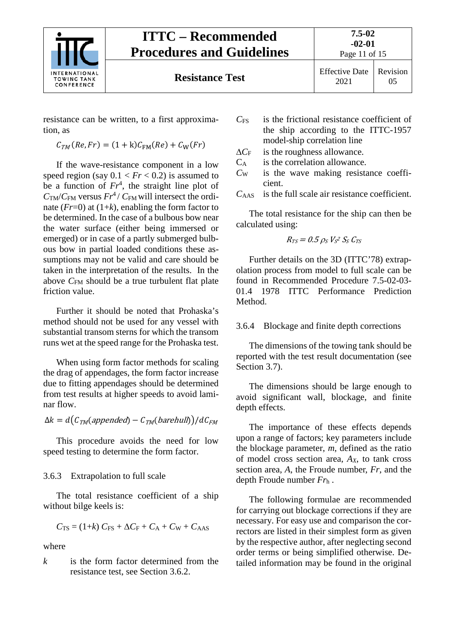

Page 11 of 15

resistance can be written, to a first approximation, as

$$
C_{TM}(Re,Fr) = (1 + k)C_{FM}(Re) + C_W(Fr)
$$

If the wave-resistance component in a low speed region (say  $0.1 < Fr < 0.2$ ) is assumed to be a function of  $Fr^4$ , the straight line plot of  $C_{TM}/C_{FM}$  versus  $Fr^4$  /  $C_{FM}$  will intersect the ordinate  $(Fr=0)$  at  $(1+k)$ , enabling the form factor to be determined. In the case of a bulbous bow near the water surface (either being immersed or emerged) or in case of a partly submerged bulbous bow in partial loaded conditions these assumptions may not be valid and care should be taken in the interpretation of the results. In the above *C*<sub>FM</sub> should be a true turbulent flat plate friction value.

Further it should be noted that Prohaska's method should not be used for any vessel with substantial transom sterns for which the transom runs wet at the speed range for the Prohaska test.

When using form factor methods for scaling the drag of appendages, the form factor increase due to fitting appendages should be determined from test results at higher speeds to avoid laminar flow.

$$
\Delta k = d\big(C_{TM}(appended) - C_{TM}(barehull)\big)/dC_{FM}
$$

This procedure avoids the need for low speed testing to determine the form factor.

## <span id="page-10-0"></span>3.6.3 Extrapolation to full scale

The total resistance coefficient of a ship without bilge keels is:

$$
C_{\text{TS}} = (1+k) C_{\text{FS}} + \Delta C_{\text{F}} + C_{\text{A}} + C_{\text{W}} + C_{\text{AAS}}
$$

where

*k* is the form factor determined from the resistance test, see Section 3.6.2.

- *C*FS is the frictional resistance coefficient of the ship according to the ITTC-1957 model-ship correlation line
- ∆*C*<sup>F</sup> is the roughness allowance.
- CA is the correlation allowance.
- *C*<sup>W</sup> is the wave making resistance coefficient.

*C*AAS is the full scale air resistance coefficient.

The total resistance for the ship can then be calculated using:

 $R_{TS}=0.5\,\rho_S\,V$ s $^2\,S_S\,C_{TS}$ 

Further details on the 3D (ITTC'78) extrapolation process from model to full scale can be found in Recommended Procedure 7.5-02-03- 01.4 1978 ITTC Performance Prediction **Method** 

<span id="page-10-1"></span>3.6.4 Blockage and finite depth corrections

The dimensions of the towing tank should be reported with the test result documentation (see Section 3.7).

The dimensions should be large enough to avoid significant wall, blockage, and finite depth effects.

The importance of these effects depends upon a range of factors; key parameters include the blockage parameter, *m*, defined as the ratio of model cross section area,  $A_X$ , to tank cross section area, *A*, the Froude number, *Fr*, and the depth Froude number *Fr*<sup>h</sup> .

The following formulae are recommended for carrying out blockage corrections if they are necessary. For easy use and comparison the correctors are listed in their simplest form as given by the respective author, after neglecting second order terms or being simplified otherwise. Detailed information may be found in the original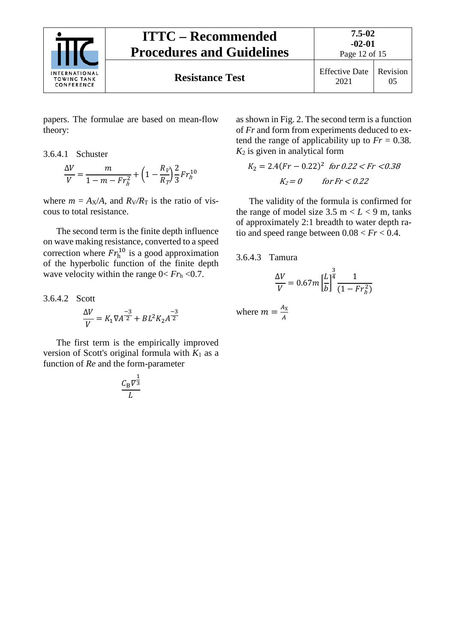

papers. The formulae are based on mean-flow theory:

# <span id="page-11-0"></span>3.6.4.1 Schuster

$$
\frac{\Delta V}{V}=\frac{m}{1-m-Fr_h^2}+\left(1-\frac{R_V}{R_T}\right)\frac{2}{3}Fr_h^{10}
$$

where  $m = A_X/A$ , and  $R_V/R_T$  is the ratio of viscous to total resistance.

The second term is the finite depth influence on wave making resistance, converted to a speed correction where  $Fr<sub>h</sub><sup>10</sup>$  is a good approximation of the hyperbolic function of the finite depth wave velocity within the range  $0 < Fr<sub>h</sub> < 0.7$ .

<span id="page-11-1"></span>3.6.4.2 Scott  
\n
$$
\frac{\Delta V}{V} = K_1 \nabla A^{-3/2} + BL^2 K_2 A
$$

The first term is the empirically improved version of Scott's original formula with  $K_1$  as a function of *Re* and the form-parameter

−3 2

$$
\frac{C_{\rm B} \nabla^{\frac{1}{3}}}{L}
$$

as shown in Fig. 2. The second term is a function of *Fr* and form from experiments deduced to extend the range of applicability up to  $Fr = 0.38$ .  $K_2$  is given in analytical form

$$
K_2 = 2.4(Fr - 0.22)^2 \text{ for } 0.22 < Fr < 0.38
$$
\n
$$
K_2 = 0 \qquad \text{for } Fr < 0.22
$$

The validity of the formula is confirmed for the range of model size  $3.5 \text{ m} < L < 9 \text{ m}$ , tanks of approximately 2:1 breadth to water depth ratio and speed range between  $0.08 < Fr < 0.4$ .

<span id="page-11-2"></span>3.6.4.3 Tamura

$$
\frac{\Delta V}{V} = 0.67 m \left[ \frac{L}{b} \right]^{\frac{3}{4}} \frac{1}{(1 - Fr_h^2)}
$$

where  $m = \frac{A_X}{A}$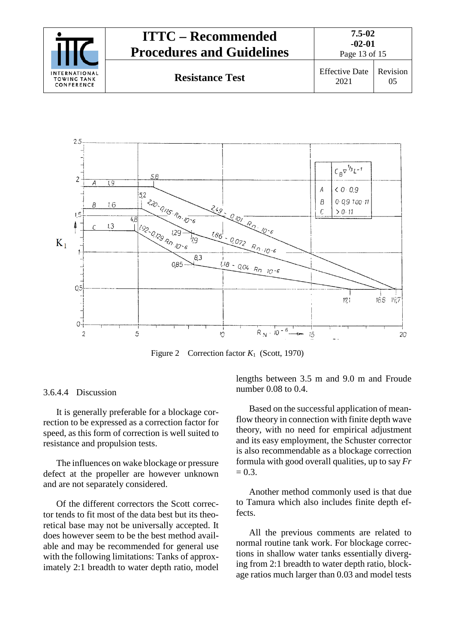| <b>INTERNATIONAL</b><br><b>TOWING TANK</b><br>CONFERENCE | <b>ITTC – Recommended</b><br><b>Procedures and Guidelines</b> | $7.5 - 02$<br>$-02-01$<br>Page 13 of 15 |          |
|----------------------------------------------------------|---------------------------------------------------------------|-----------------------------------------|----------|
|                                                          | <b>Resistance Test</b>                                        | <b>Effective Date</b><br>2021           | Revision |



Figure 2 Correction factor *K*1 (Scott, 1970)

#### <span id="page-12-0"></span>3.6.4.4 Discussion

It is generally preferable for a blockage correction to be expressed as a correction factor for speed, as this form of correction is well suited to resistance and propulsion tests.

The influences on wake blockage or pressure defect at the propeller are however unknown and are not separately considered.

Of the different correctors the Scott corrector tends to fit most of the data best but its theoretical base may not be universally accepted. It does however seem to be the best method available and may be recommended for general use with the following limitations: Tanks of approximately 2:1 breadth to water depth ratio, model lengths between 3.5 m and 9.0 m and Froude number 0.08 to 0.4.

Based on the successful application of meanflow theory in connection with finite depth wave theory, with no need for empirical adjustment and its easy employment, the Schuster corrector is also recommendable as a blockage correction formula with good overall qualities, up to say *Fr*  $= 0.3.$ 

Another method commonly used is that due to Tamura which also includes finite depth effects.

All the previous comments are related to normal routine tank work. For blockage corrections in shallow water tanks essentially diverging from 2:1 breadth to water depth ratio, blockage ratios much larger than 0.03 and model tests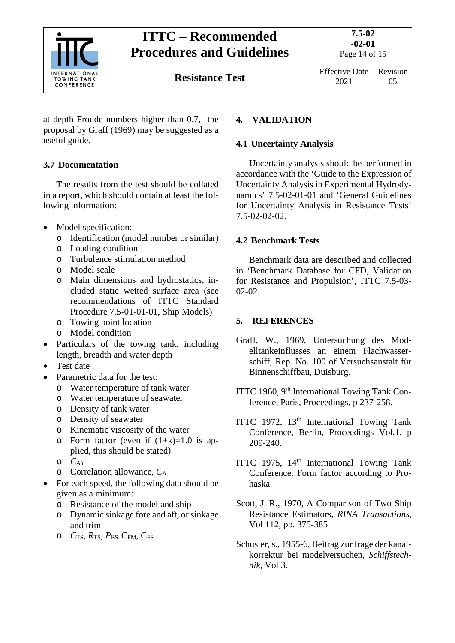

at depth Froude numbers higher than 0.7, the proposal by Graff (1969) may be suggested as a useful guide.

# <span id="page-13-0"></span>**3.7 Documentation**

The results from the test should be collated in a report, which should contain at least the following information:

- Model specification:
	- o Identification (model number or similar)
	- o Loading condition
	- o Turbulence stimulation method
	- o Model scale
	- o Main dimensions and hydrostatics, included static wetted surface area (see recommendations of ITTC Standard Procedure 7.5-01-01-01, Ship Models)
	- o Towing point location
	- o Model condition
- Particulars of the towing tank, including length, breadth and water depth
- Test date
- Parametric data for the test:
	- o Water temperature of tank water
	- o Water temperature of seawater
	- o Density of tank water
	- o Density of seawater
	- o Kinematic viscosity of the water
	- o Form factor (even if  $(1+k)=1.0$  is applied, this should be stated)
	- o *CAir*
	- o Correlation allowance, *C*<sup>A</sup>
- For each speed, the following data should be given as a minimum:
	- o Resistance of the model and ship
	- o Dynamic sinkage fore and aft, or sinkage and trim
	- o *C*TS, *R*TS, *P*ES, CFM, CFS

## <span id="page-13-2"></span><span id="page-13-1"></span>**4. VALIDATION**

### **4.1 Uncertainty Analysis**

Uncertainty analysis should be performed in accordance with the 'Guide to the Expression of Uncertainty Analysis in Experimental Hydrodynamics' 7.5-02-01-01 and 'General Guidelines for Uncertainty Analysis in Resistance Tests' 7.5-02-02-02.

## <span id="page-13-3"></span>**4.2 Benchmark Tests**

Benchmark data are described and collected in 'Benchmark Database for CFD, Validation for Resistance and Propulsion', ITTC 7.5-03- 02-02.

## <span id="page-13-4"></span>**5. REFERENCES**

- Graff, W., 1969, Untersuchung des Modelltankeinflusses an einem Flachwasserschiff, Rep. No. 100 of Versuchsanstalt für Binnenschiffbau, Duisburg.
- ITTC 1960, 9<sup>th</sup> International Towing Tank Conference, Paris, Proceedings, p 237-258.
- ITTC 1972, 13<sup>th</sup> International Towing Tank Conference, Berlin, Proceedings Vol.1, p 209-240.
- ITTC 1975, 14<sup>th</sup> International Towing Tank Conference. Form factor according to Prohaska.
- Scott, J. R., 1970, A Comparison of Two Ship Resistance Estimators, *RINA Transactions*, Vol 112, pp. 375-385
- Schuster, s., 1955-6, Beitrag zur frage der kanalkorrektur bei modelversuchen, *Schiffstechnik*, Vol 3.